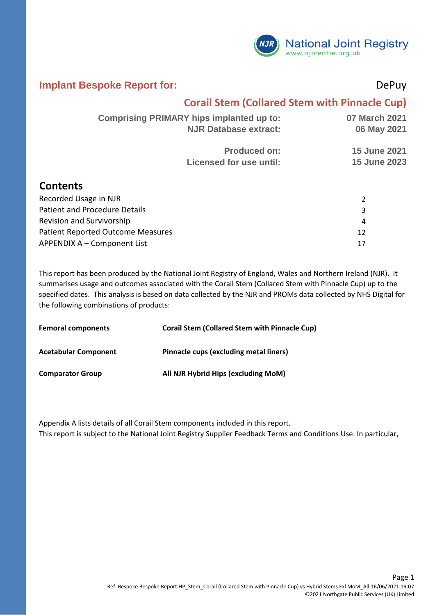

#### **Implant Bespoke Report for:** DePuy

#### **Corail Stem (Collared Stem with Pinnacle Cup)**

| <b>Comprising PRIMARY hips implanted up to:</b> | 07 March 2021       |
|-------------------------------------------------|---------------------|
| <b>NJR Database extract:</b>                    | 06 May 2021         |
| <b>Produced on:</b>                             | <b>15 June 2021</b> |
| <b>Licensed for use until:</b>                  | <b>15 June 2023</b> |
|                                                 |                     |

#### **Contents**

| Recorded Usage in NJR                    |    |
|------------------------------------------|----|
| Patient and Procedure Details            |    |
| Revision and Survivorship                | 4  |
| <b>Patient Reported Outcome Measures</b> |    |
| APPENDIX A - Component List              | 17 |

This report has been produced by the National Joint Registry of England, Wales and Northern Ireland (NJR). It summarises usage and outcomes associated with the Corail Stem (Collared Stem with Pinnacle Cup) up to the specified dates. This analysis is based on data collected by the NJR and PROMs data collected by NHS Digital for the following combinations of products:

| <b>Femoral components</b>   | <b>Corail Stem (Collared Stem with Pinnacle Cup)</b> |
|-----------------------------|------------------------------------------------------|
| <b>Acetabular Component</b> | Pinnacle cups (excluding metal liners)               |
| <b>Comparator Group</b>     | All NJR Hybrid Hips (excluding MoM)                  |

Appendix A lists details of all Corail Stem components included in this report. This report is subject to the National Joint Registry Supplier Feedback Terms and Conditions Use. In particular,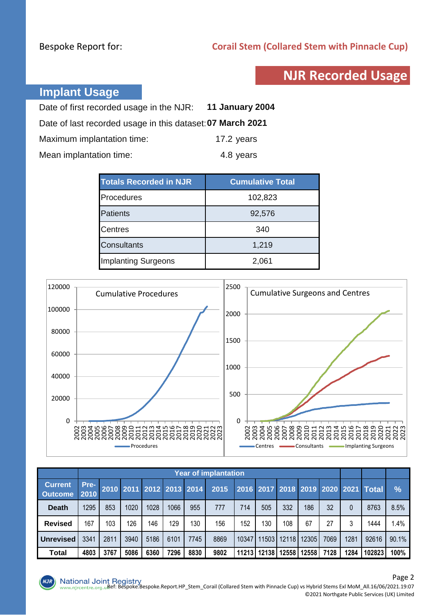## **NJR Recorded Usage**

### **Implant Usage**

| Date of first recorded usage in the NJR: 11 January 2004   |            |
|------------------------------------------------------------|------------|
| Date of last recorded usage in this dataset: 07 March 2021 |            |
| Maximum implantation time:                                 | 17.2 years |
| Mean implantation time:                                    | 4.8 years  |

| <b>Totals Recorded in NJR</b> | <b>Cumulative Total</b> |
|-------------------------------|-------------------------|
| Procedures                    | 102,823                 |
| <b>Patients</b>               | 92,576                  |
| <b>Centres</b>                | 340                     |
| <b>Consultants</b>            | 1,219                   |
| <b>Implanting Surgeons</b>    | 2,061                   |



|                                  |              | <b>Year of implantation</b> |      |      |      |                          |      |       |             |       |       |      |      |                                     |       |
|----------------------------------|--------------|-----------------------------|------|------|------|--------------------------|------|-------|-------------|-------|-------|------|------|-------------------------------------|-------|
| <b>Current</b><br><b>Outcome</b> | Pre-<br>2010 |                             |      |      |      | 2010 2011 2012 2013 2014 | 2015 |       |             |       |       |      |      | 2016 2017 2018 2019 2020 2021 Total | $\%$  |
| <b>Death</b>                     | 1295         | 853                         | 1020 | 1028 | 1066 | 955                      | 777  | 714   | 505         | 332   | 186   | 32   |      | 8763                                | 8.5%  |
| <b>Revised</b>                   | 167          | 103                         | 126  | 146  | 129  | 130                      | 156  | 152   | 130         | 108   | 67    | 27   |      | 1444                                | 1.4%  |
| <b>Unrevised</b>                 | 3341         | 2811                        | 3940 | 5186 | 6101 | 7745                     | 8869 | 10347 | 11503       | 12118 | 12305 | 7069 | 1281 | 92616                               | 90.1% |
| Total                            | 4803         | 3767                        | 5086 | 6360 | 7296 | 8830                     | 9802 |       | 11213 12138 | 12558 | 12558 | 7128 | 1284 | 102823                              | 100%  |

 $NJI$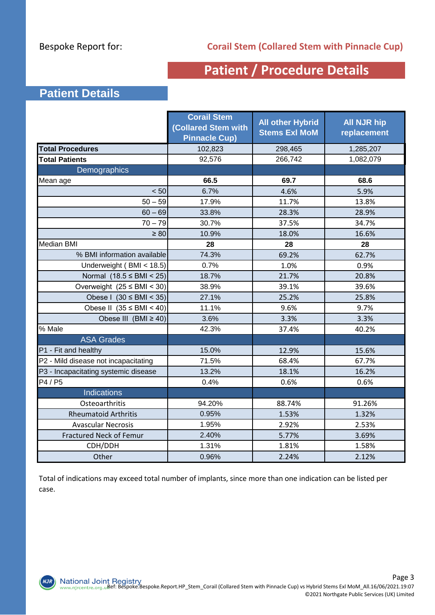## **Patient / Procedure Details**

### **Patient Details**

|                                      | <b>Corail Stem</b><br><b>Collared Stem with</b><br><b>Pinnacle Cup)</b> | <b>All other Hybrid</b><br><b>Stems Exl MoM</b> | <b>All NJR hip</b><br>replacement |
|--------------------------------------|-------------------------------------------------------------------------|-------------------------------------------------|-----------------------------------|
| <b>Total Procedures</b>              | 102,823                                                                 | 298,465                                         | 1,285,207                         |
| <b>Total Patients</b>                | 92,576                                                                  | 266,742                                         | 1,082,079                         |
| Demographics                         |                                                                         |                                                 |                                   |
| Mean age                             | 66.5                                                                    | 69.7                                            | 68.6                              |
| < 50                                 | 6.7%                                                                    | 4.6%                                            | 5.9%                              |
| $50 - 59$                            | 17.9%                                                                   | 11.7%                                           | 13.8%                             |
| $60 - 69$                            | 33.8%                                                                   | 28.3%                                           | 28.9%                             |
| $70 - 79$                            | 30.7%                                                                   | 37.5%                                           | 34.7%                             |
| $\geq 80$                            | 10.9%                                                                   | 18.0%                                           | 16.6%                             |
| Median BMI                           | 28                                                                      | 28                                              | 28                                |
| % BMI information available          | 74.3%                                                                   | 69.2%                                           | 62.7%                             |
| Underweight (BMI < 18.5)             | 0.7%                                                                    | 1.0%                                            | 0.9%                              |
| Normal $(18.5 \leq BMI < 25)$        | 18.7%                                                                   | 21.7%                                           | 20.8%                             |
| Overweight $(25 \leq BMI < 30)$      | 38.9%                                                                   | 39.1%                                           | 39.6%                             |
| Obese I $(30 \leq BMI \leq 35)$      | 27.1%                                                                   | 25.2%                                           | 25.8%                             |
| Obese II $(35 \leq BMI < 40)$        | 11.1%                                                                   | 9.6%                                            | 9.7%                              |
| Obese III (BMI $\geq$ 40)            | 3.6%                                                                    | 3.3%                                            | 3.3%                              |
| % Male                               | 42.3%                                                                   | 37.4%                                           | 40.2%                             |
| <b>ASA Grades</b>                    |                                                                         |                                                 |                                   |
| P1 - Fit and healthy                 | 15.0%                                                                   | 12.9%                                           | 15.6%                             |
| P2 - Mild disease not incapacitating | 71.5%                                                                   | 68.4%                                           | 67.7%                             |
| P3 - Incapacitating systemic disease | 13.2%                                                                   | 18.1%                                           | 16.2%                             |
| P4 / P5                              | 0.4%                                                                    | 0.6%                                            | 0.6%                              |
| <b>Indications</b>                   |                                                                         |                                                 |                                   |
| Osteoarthritis                       | 94.20%                                                                  | 88.74%                                          | 91.26%                            |
| <b>Rheumatoid Arthritis</b>          | 0.95%                                                                   | 1.53%                                           | 1.32%                             |
| <b>Avascular Necrosis</b>            | 1.95%                                                                   | 2.92%                                           | 2.53%                             |
| <b>Fractured Neck of Femur</b>       | 2.40%                                                                   | 5.77%                                           | 3.69%                             |
| CDH/DDH                              | 1.31%                                                                   | 1.81%                                           | 1.58%                             |
| Other                                | 0.96%                                                                   | 2.24%                                           | 2.12%                             |

Total of indications may exceed total number of implants, since more than one indication can be listed per case.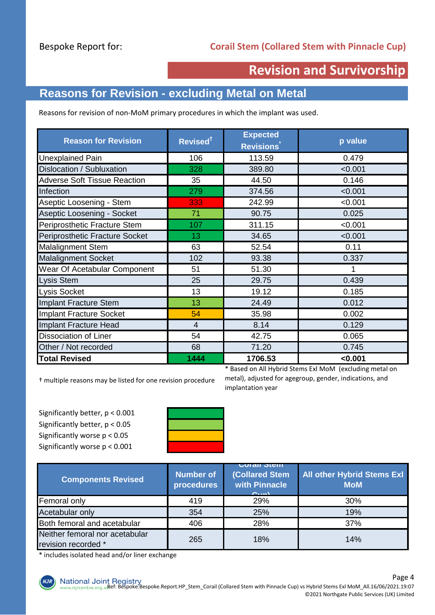## **Revision and Survivorship**

## **Reasons for Revision - excluding Metal on Metal**

Reasons for revision of non-MoM primary procedures in which the implant was used.

| Revised <sup>†</sup> | <b>Expected</b><br><b>Revisions</b> | p value                                                 |  |
|----------------------|-------------------------------------|---------------------------------------------------------|--|
| 106                  | 113.59                              | 0.479                                                   |  |
| 328                  | 389.80                              | < 0.001                                                 |  |
| 35                   | 44.50                               | 0.146                                                   |  |
| 279                  | 374.56                              | < 0.001                                                 |  |
| 333                  | 242.99                              | < 0.001                                                 |  |
| 71                   | 90.75                               | 0.025                                                   |  |
| 107                  | 311.15                              | < 0.001                                                 |  |
| 13                   | 34.65                               | < 0.001                                                 |  |
| 63                   | 52.54                               | 0.11                                                    |  |
| 102                  | 93.38                               | 0.337                                                   |  |
| 51                   | 51.30                               | 1                                                       |  |
| 25                   | 29.75                               | 0.439                                                   |  |
| 13                   | 19.12                               | 0.185                                                   |  |
| 13                   | 24.49                               | 0.012                                                   |  |
| 54                   | 35.98                               | 0.002                                                   |  |
| 4                    | 8.14                                | 0.129                                                   |  |
| 54                   | 42.75                               | 0.065                                                   |  |
| 68                   | 71.20                               | 0.745                                                   |  |
| 1444                 | 1706.53                             | < 0.001                                                 |  |
|                      |                                     | * Based on All Hybrid Stems Exl MoM (excluding metal on |  |

† multiple reasons may be listed for one revision procedure

Significantly better, p < 0.001 Significantly better, p < 0.05 Significantly worse p < 0.05 Significantly worse p < 0.001



metal), adjusted for agegroup, gender, indications, and implantation year

| <b>Components Revised</b>                             | <b>Number of</b><br>procedures | <b>UULAIL JULII</b><br><b>(Collared Stem</b><br>with Pinnacle<br>O(10 <sup>K</sup> ) | <b>All other Hybrid Stems Exl</b><br><b>MoM</b> |  |
|-------------------------------------------------------|--------------------------------|--------------------------------------------------------------------------------------|-------------------------------------------------|--|
| Femoral only                                          | 419                            | 29%                                                                                  | 30%                                             |  |
| Acetabular only                                       | 354                            | 25%                                                                                  | 19%                                             |  |
| Both femoral and acetabular                           | 406                            | 28%                                                                                  | 37%                                             |  |
| Neither femoral nor acetabular<br>revision recorded * | 265                            | 18%                                                                                  | 14%                                             |  |

\* includes isolated head and/or liner exchange

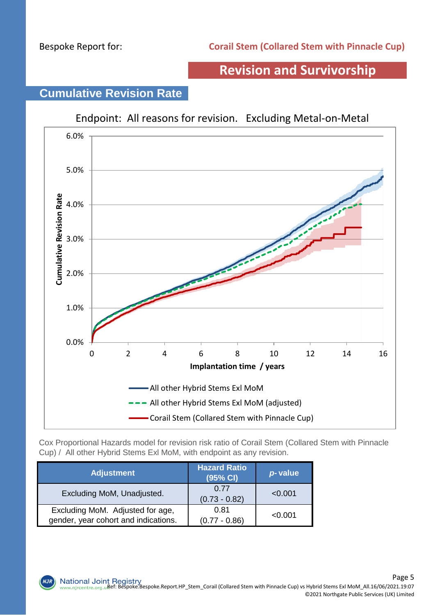## **Revision and Survivorship**

# Endpoint: All reasons for revision. Excluding Metal-on-Metal 6.0% 5.0% **Cumulative Revision Rate Cumulative Revision Rate** 4.0% 3.0% 2.0% 1.0% 0.0% 0 2 4 6 8 10 12 14 16 **Implantation time / years** All other Hybrid Stems Exl MoM - All other Hybrid Stems Exl MoM (adjusted) Corail Stem (Collared Stem with Pinnacle Cup)

# **Cumulative Revision Rate**

Cox Proportional Hazards model for revision risk ratio of Corail Stem (Collared Stem with Pinnacle Cup) / All other Hybrid Stems Exl MoM, with endpoint as any revision.

| <b>Adjustment</b>                                                        | <b>Hazard Ratio</b><br>(95% CI) | p-value |
|--------------------------------------------------------------------------|---------------------------------|---------|
| Excluding MoM, Unadjusted.                                               | 0.77<br>$(0.73 - 0.82)$         | < 0.001 |
| Excluding MoM. Adjusted for age,<br>gender, year cohort and indications. | 0.81<br>$(0.77 - 0.86)$         | < 0.001 |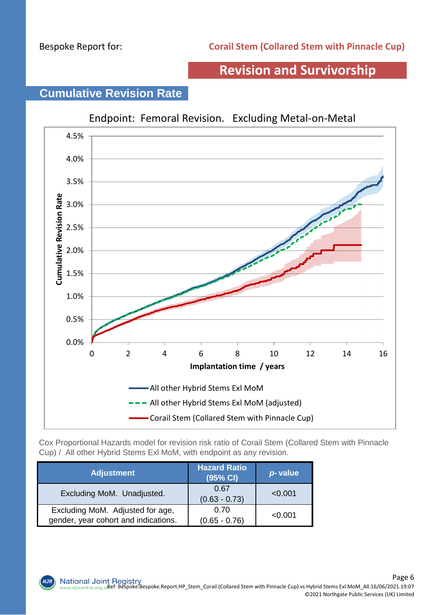## **Revision and Survivorship**

## Endpoint: Femoral Revision. Excluding Metal-on-Metal 4.5% 4.0% 3.5% Cumulative Revision Rate **Cumulative Revision Rate** 3.0% 2.5% 2.0% 1.5% 1.0% 0.5% 0.0% 0 2 4 6 8 10 12 14 16 **Implantation time / years** All other Hybrid Stems Exl MoM - All other Hybrid Stems Exl MoM (adjusted) Corail Stem (Collared Stem with Pinnacle Cup)

# **Cumulative Revision Rate**

Cox Proportional Hazards model for revision risk ratio of Corail Stem (Collared Stem with Pinnacle Cup) / All other Hybrid Stems Exl MoM, with endpoint as any revision.

| <b>Adjustment</b>                                                        | <b>Hazard Ratio</b><br>(95% CI) | p-value |
|--------------------------------------------------------------------------|---------------------------------|---------|
| Excluding MoM. Unadjusted.                                               | 0.67<br>$(0.63 - 0.73)$         | < 0.001 |
| Excluding MoM. Adjusted for age,<br>gender, year cohort and indications. | 0.70<br>$(0.65 - 0.76)$         | < 0.001 |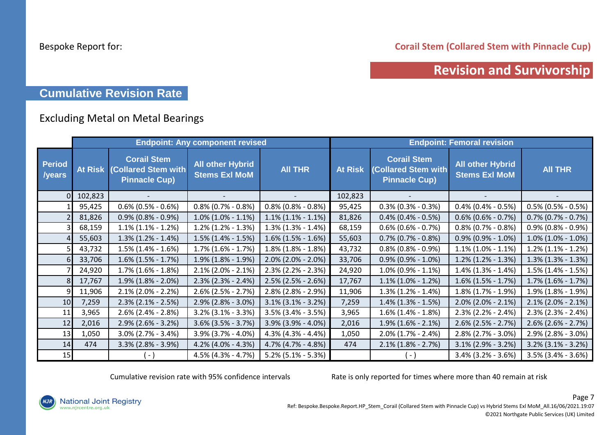**Corail Stem (Collared Stem with Pinnacle Cup)**

## **Revision and Survivorship**

#### **Cumulative Revision Rate**

#### Excluding Metal on Metal Bearings

|                         |                |                                                                          | <b>Endpoint: Any component revised</b>          |                       | <b>Endpoint: Femoral revision</b> |                                                                   |                                                 |                           |  |
|-------------------------|----------------|--------------------------------------------------------------------------|-------------------------------------------------|-----------------------|-----------------------------------|-------------------------------------------------------------------|-------------------------------------------------|---------------------------|--|
| <b>Period</b><br>/years | <b>At Risk</b> | <b>Corail Stem</b><br><b>(Collared Stem with</b><br><b>Pinnacle Cup)</b> | <b>All other Hybrid</b><br><b>Stems Exl MoM</b> | <b>AII THR</b>        | <b>At Risk</b>                    | <b>Corail Stem</b><br>(Collared Stem with<br><b>Pinnacle Cup)</b> | <b>All other Hybrid</b><br><b>Stems Exl MoM</b> | <b>AII THR</b>            |  |
|                         | 102,823        |                                                                          |                                                 |                       | 102,823                           |                                                                   |                                                 |                           |  |
|                         | 95,425         | $0.6\%$ (0.5% - 0.6%)                                                    | $0.8\%$ (0.7% - 0.8%)                           | $0.8\%$ (0.8% - 0.8%) | 95,425                            | $0.3\%$ (0.3% - 0.3%)                                             | $0.4\%$ (0.4% - 0.5%)                           | $0.5\%$ (0.5% - 0.5%)     |  |
|                         | 81,826         | $0.9\%$ (0.8% - 0.9%)                                                    | $1.0\%$ (1.0% - 1.1%)                           | $1.1\%$ (1.1% - 1.1%) | 81,826                            | $0.4\%$ (0.4% - 0.5%)                                             | $0.6\%$ (0.6% - 0.7%)                           | $0.7\%$ (0.7% - 0.7%)     |  |
|                         | 68,159         | $1.1\%$ (1.1% - 1.2%)                                                    | $1.2\%$ (1.2% - 1.3%)                           | $1.3\%$ (1.3% - 1.4%) | 68,159                            | $0.6\%$ (0.6% - 0.7%)                                             | $0.8\%$ (0.7% - 0.8%)                           | $0.9\%$ (0.8% - 0.9%)     |  |
|                         | 55,603         | $1.3\%$ (1.2% - 1.4%)                                                    | $1.5\%$ (1.4% - 1.5%)                           | $1.6\%$ (1.5% - 1.6%) | 55,603                            | $0.7\%$ (0.7% - 0.8%)                                             | $0.9\%$ (0.9% - 1.0%)                           | $1.0\%$ (1.0% - 1.0%)     |  |
|                         | 43,732         | $1.5\%$ (1.4% - 1.6%)                                                    | $1.7\%$ (1.6% - 1.7%)                           | $1.8\%$ (1.8% - 1.8%) | 43,732                            | $0.8\%$ (0.8% - 0.9%)                                             | $1.1\%$ (1.0% - 1.1%)                           | $1.2\%$ (1.1% - 1.2%)     |  |
|                         | 33,706         | $1.6\%$ (1.5% - 1.7%)                                                    | $1.9\%$ (1.8% - 1.9%)                           | $2.0\%$ (2.0% - 2.0%) | 33,706                            | $0.9\%$ (0.9% - 1.0%)                                             | $1.2\%$ (1.2% - 1.3%)                           | $1.3\%$ (1.3% - 1.3%)     |  |
|                         | 24,920         | $1.7\%$ (1.6% - 1.8%)                                                    | $2.1\%$ (2.0% - 2.1%)                           | $2.3\%$ (2.2% - 2.3%) | 24,920                            | $1.0\%$ (0.9% - 1.1%)                                             | $1.4\%$ (1.3% - 1.4%)                           | $1.5\%$ (1.4% - 1.5%)     |  |
|                         | 17,767         | $1.9\%$ (1.8% - 2.0%)                                                    | $2.3\%$ (2.3% - 2.4%)                           | $2.5\%$ (2.5% - 2.6%) | 17,767                            | $1.1\%$ (1.0% - 1.2%)                                             | $1.6\%$ (1.5% - 1.7%)                           | $1.7\%$ $(1.6\% - 1.7\%)$ |  |
|                         | 11,906         | $2.1\%$ (2.0% - 2.2%)                                                    | $2.6\%$ (2.5% - 2.7%)                           | $2.8\%$ (2.8% - 2.9%) | 11,906                            | $1.3\%$ (1.2% - 1.4%)                                             | $1.8\%$ (1.7% - 1.9%)                           | $1.9\%$ (1.8% - 1.9%)     |  |
| 10                      | 7,259          | $2.3\%$ (2.1% - 2.5%)                                                    | $2.9\%$ (2.8% - 3.0%)                           | $3.1\%$ (3.1% - 3.2%) | 7,259                             | $1.4\%$ (1.3% - 1.5%)                                             | $2.0\%$ (2.0% - 2.1%)                           | $2.1\%$ (2.0% - 2.1%)     |  |
| 11                      | 3,965          | $2.6\%$ (2.4% - 2.8%)                                                    | $3.2\%$ (3.1% - 3.3%)                           | $3.5\%$ (3.4% - 3.5%) | 3,965                             | $1.6\%$ (1.4% - 1.8%)                                             | $2.3\%$ (2.2% - 2.4%)                           | $2.3\%$ (2.3% - 2.4%)     |  |
| 12                      | 2,016          | $2.9\%$ (2.6% - 3.2%)                                                    | $3.6\%$ (3.5% - 3.7%)                           | 3.9% (3.9% - 4.0%)    | 2,016                             | $1.9\%$ (1.6% - 2.1%)                                             | $2.6\%$ (2.5% - 2.7%)                           | $2.6\%$ (2.6% - 2.7%)     |  |
| 13                      | 1,050          | $3.0\%$ (2.7% - 3.4%)                                                    | 3.9% (3.7% - 4.0%)                              | $4.3\%$ (4.3% - 4.4%) | 1,050                             | $2.0\%$ (1.7% - 2.4%)                                             | 2.8% (2.7% - 3.0%)                              | $2.9\%$ (2.8% - 3.0%)     |  |
| 14                      | 474            | $3.3\%$ (2.8% - 3.9%)                                                    | 4.2% (4.0% - 4.3%)                              | 4.7% (4.7% - 4.8%)    | 474                               | $2.1\%$ (1.8% - 2.7%)                                             | $3.1\%$ (2.9% - 3.2%)                           | $3.2\%$ (3.1% - 3.2%)     |  |
| 15                      |                | $\vert - \vert$                                                          | 4.5% (4.3% - 4.7%)                              | $5.2\%$ (5.1% - 5.3%) |                                   | ( - )                                                             | $3.4\%$ (3.2% - 3.6%)                           | $3.5\%$ (3.4% - 3.6%)     |  |

Cumulative revision rate with 95% confidence intervals Rate is only reported for times where more than 40 remain at risk

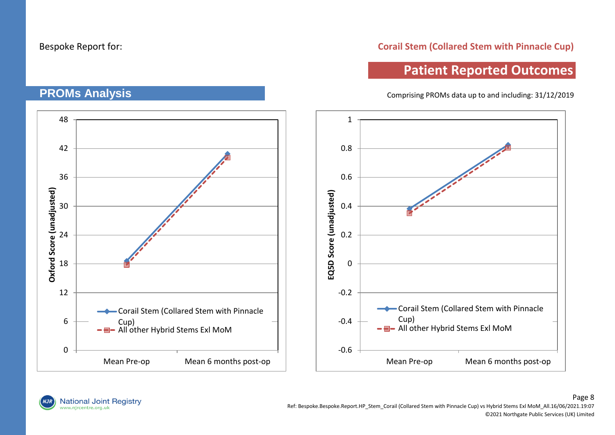**PROMs Analysis**

#### **Corail Stem (Collared Stem with Pinnacle Cup)**

## **Patient Reported Outcomes**

Comprising PROMs data up to and including: 31/12/2019

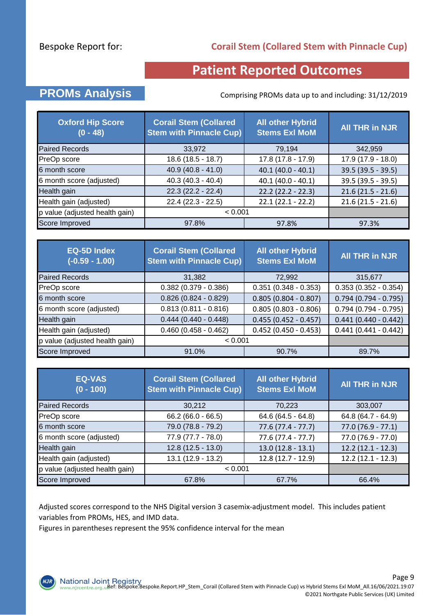#### **Corail Stem (Collared Stem with Pinnacle Cup)**

## **Patient Reported Outcomes**

## **PROMs Analysis** Comprising PROMs data up to and including: 31/12/2019

| <b>Oxford Hip Score</b><br>$(0 - 48)$ | <b>Corail Stem (Collared</b><br><b>Stem with Pinnacle Cup)</b> | <b>All other Hybrid</b><br><b>Stems Exl MoM</b> | <b>All THR in NJR</b> |
|---------------------------------------|----------------------------------------------------------------|-------------------------------------------------|-----------------------|
| <b>Paired Records</b>                 | 33,972                                                         | 79,194                                          | 342,959               |
| PreOp score                           | 18.6 (18.5 - 18.7)                                             | $17.8(17.8 - 17.9)$                             | $17.9(17.9 - 18.0)$   |
| 6 month score                         | $40.9(40.8 - 41.0)$                                            | $40.1 (40.0 - 40.1)$                            | $39.5(39.5 - 39.5)$   |
| 6 month score (adjusted)              | $40.3(40.3 - 40.4)$                                            | $40.1(40.0 - 40.1)$                             | 39.5 (39.5 - 39.5)    |
| Health gain                           | $22.3(22.2 - 22.4)$                                            | $22.2$ (22.2 - 22.3)                            | $21.6(21.5 - 21.6)$   |
| Health gain (adjusted)                | $22.4(22.3 - 22.5)$                                            | $22.1(22.1 - 22.2)$                             | $21.6(21.5 - 21.6)$   |
| p value (adjusted health gain)        | < 0.001                                                        |                                                 |                       |
| Score Improved                        | 97.8%                                                          | 97.8%                                           | 97.3%                 |

| <b>EQ-5D Index</b><br>$(-0.59 - 1.00)$ | <b>Corail Stem (Collared</b><br><b>Stem with Pinnacle Cup)</b> | <b>All other Hybrid</b><br><b>Stems Exl MoM</b> | <b>All THR in NJR</b>  |
|----------------------------------------|----------------------------------------------------------------|-------------------------------------------------|------------------------|
| <b>Paired Records</b>                  | 31,382                                                         | 72,992                                          | 315,677                |
| PreOp score                            | $0.382$ (0.379 - 0.386)                                        | $0.351(0.348 - 0.353)$                          | $0.353(0.352 - 0.354)$ |
| 6 month score                          | $0.826(0.824 - 0.829)$                                         | $0.805(0.804 - 0.807)$                          | $0.794(0.794 - 0.795)$ |
| 6 month score (adjusted)               | $0.813(0.811 - 0.816)$                                         | $0.805(0.803 - 0.806)$                          | $0.794(0.794 - 0.795)$ |
| Health gain                            | $0.444(0.440 - 0.448)$                                         | $0.455(0.452 - 0.457)$                          | $0.441(0.440 - 0.442)$ |
| Health gain (adjusted)                 | $0.460(0.458 - 0.462)$                                         | $0.452$ (0.450 - 0.453)                         | $0.441(0.441 - 0.442)$ |
| p value (adjusted health gain)         | < 0.001                                                        |                                                 |                        |
| Score Improved                         | 91.0%                                                          | 90.7%                                           | 89.7%                  |

| <b>EQ-VAS</b><br>$(0 - 100)$   | <b>Corail Stem (Collared)</b><br><b>Stem with Pinnacle Cup)</b> | <b>All other Hybrid</b><br><b>Stems Exl MoM</b> | <b>All THR in NJR</b> |
|--------------------------------|-----------------------------------------------------------------|-------------------------------------------------|-----------------------|
| <b>Paired Records</b>          | 30,212                                                          | 70,223                                          | 303,007               |
| PreOp score                    | $66.2(66.0 - 66.5)$                                             | $64.6(64.5 - 64.8)$                             | 64.8 (64.7 - 64.9)    |
| 6 month score                  | 79.0 (78.8 - 79.2)                                              | $77.6(77.4 - 77.7)$                             | $77.0(76.9 - 77.1)$   |
| 6 month score (adjusted)       | 77.9 (77.7 - 78.0)                                              | $77.6(77.4 - 77.7)$                             | $77.0(76.9 - 77.0)$   |
| Health gain                    | $12.8(12.5 - 13.0)$                                             | $13.0(12.8 - 13.1)$                             | $12.2(12.1 - 12.3)$   |
| Health gain (adjusted)         | 13.1 (12.9 - 13.2)                                              | $12.8(12.7 - 12.9)$                             | $12.2(12.1 - 12.3)$   |
| p value (adjusted health gain) | < 0.001                                                         |                                                 |                       |
| Score Improved                 | 67.8%                                                           | 67.7%                                           | 66.4%                 |

Adjusted scores correspond to the NHS Digital version 3 casemix-adjustment model. This includes patient variables from PROMs, HES, and IMD data.

Figures in parentheses represent the 95% confidence interval for the mean

**NJR**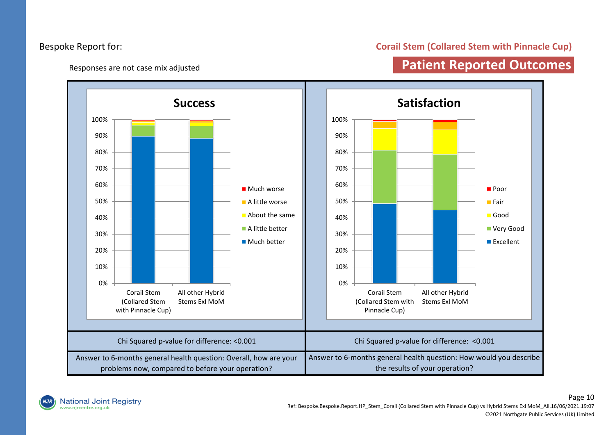#### Responses are not case mix adjusted

#### **Corail Stem (Collared Stem with Pinnacle Cup)**

## **Patient Reported Outcomes**



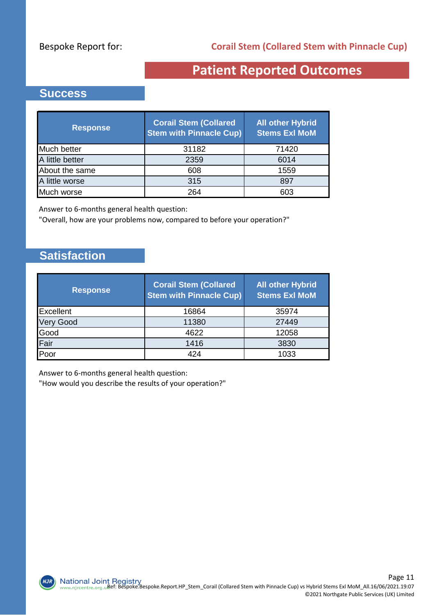## **Patient Reported Outcomes**

#### **Success**

| <b>Response</b> | <b>Corail Stem (Collared</b><br><b>Stem with Pinnacle Cup)</b> | <b>All other Hybrid</b><br><b>Stems Exl MoM</b> |
|-----------------|----------------------------------------------------------------|-------------------------------------------------|
| Much better     | 31182                                                          | 71420                                           |
| A little better | 2359                                                           | 6014                                            |
| About the same  | 608                                                            | 1559                                            |
| A little worse  | 315                                                            | 897                                             |
| Much worse      | 264                                                            | 603                                             |

Answer to 6-months general health question:

"Overall, how are your problems now, compared to before your operation?"

#### **Satisfaction**

**NJR** 

| <b>Response</b>  | <b>Corail Stem (Collared</b><br><b>Stem with Pinnacle Cup)</b> | <b>All other Hybrid</b><br><b>Stems Exl MoM</b> |
|------------------|----------------------------------------------------------------|-------------------------------------------------|
| Excellent        | 16864                                                          | 35974                                           |
| <b>Very Good</b> | 11380                                                          | 27449                                           |
| Good             | 4622                                                           | 12058                                           |
| Fair             | 1416                                                           | 3830                                            |
| Poor             | 424                                                            | 1033                                            |

Answer to 6-months general health question:

"How would you describe the results of your operation?"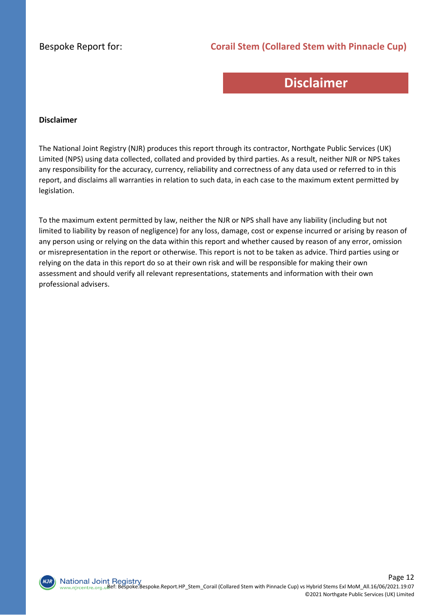#### **Corail Stem (Collared Stem with Pinnacle Cup)**

## **Disclaimer**

#### **Disclaimer**

The National Joint Registry (NJR) produces this report through its contractor, Northgate Public Services (UK) Limited (NPS) using data collected, collated and provided by third parties. As a result, neither NJR or NPS takes any responsibility for the accuracy, currency, reliability and correctness of any data used or referred to in this report, and disclaims all warranties in relation to such data, in each case to the maximum extent permitted by legislation.

To the maximum extent permitted by law, neither the NJR or NPS shall have any liability (including but not limited to liability by reason of negligence) for any loss, damage, cost or expense incurred or arising by reason of any person using or relying on the data within this report and whether caused by reason of any error, omission or misrepresentation in the report or otherwise. This report is not to be taken as advice. Third parties using or relying on the data in this report do so at their own risk and will be responsible for making their own assessment and should verify all relevant representations, statements and information with their own professional advisers.